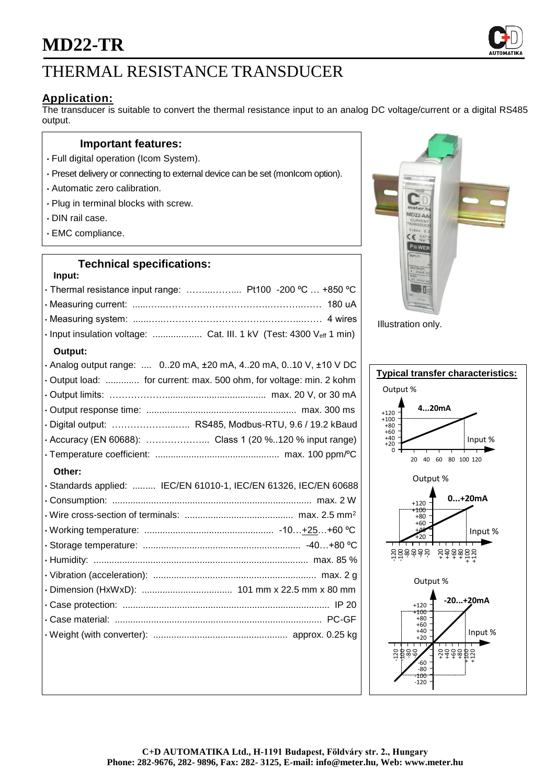

# **Application:**

The transducer is suitable to convert the thermal resistance input to an analog DC voltage/current or a digital RS485 output.

#### **Important features:**

- Full digital operation (Icom System).
- Preset delivery or connecting to external device can be set (monIcom option).
- Automatic zero calibration.
- Plug in terminal blocks with screw.
- DIN rail case.
- EMC compliance.

#### **Technical specifications:**

| Input:                                                                    |
|---------------------------------------------------------------------------|
| · Thermal resistance input range:  Pt100 -200 °C  +850 °C                 |
|                                                                           |
|                                                                           |
| · Input insulation voltage:  Cat. III. 1 kV (Test: 4300 Veff 1 min)       |
| Output:                                                                   |
| . Analog output range:  020 mA, $\pm 20$ mA, 420 mA, 010 V, $\pm 10$ V DC |
| · Output load:  for current: max. 500 ohm, for voltage: min. 2 kohm       |
|                                                                           |
|                                                                           |
| · Digital output:  RS485, Modbus-RTU, 9.6 / 19.2 kBaud                    |
|                                                                           |
|                                                                           |
|                                                                           |
| Other:                                                                    |
| · Standards applied:  IEC/EN 61010-1, IEC/EN 61326, IEC/EN 60688          |
|                                                                           |
|                                                                           |
|                                                                           |
|                                                                           |
|                                                                           |
|                                                                           |
|                                                                           |
|                                                                           |
|                                                                           |
|                                                                           |



Illustration only.